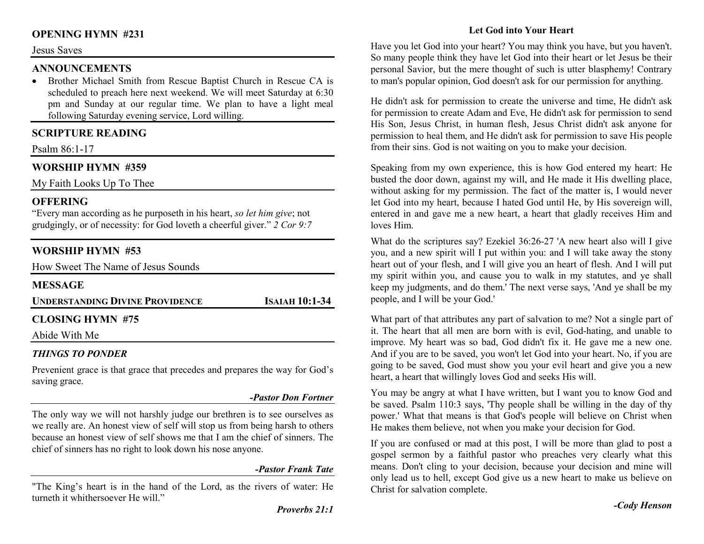# **OPENING HYMN #231**

#### Jesus Saves

#### **ANNOUNCEMENTS**

 • Brother Michael Smith from Rescue Baptist Church in Rescue CA is scheduled to preach here next weekend. We will meet Saturday at 6:30 pm and Sunday at our regular time. We plan to have a light meal following Saturday evening service, Lord willing.

#### **SCRIPTURE READING**

Psalm 86:1-17

#### **WORSHIP HYMN #359**

My Faith Looks Up To Thee

#### **OFFERING**

 "Every man according as he purposeth in his heart, *so let him give*; not grudgingly, or of necessity: for God loveth a cheerful giver." *2 Cor 9:7*

#### **WORSHIP HYMN #53**

How Sweet The Name of Jesus Sounds

#### **MESSAGE**

| <b>UNDERSTANDING DIVINE PROVIDENCE</b> | <b>ISAIAH 10:1-34</b> |
|----------------------------------------|-----------------------|
|                                        |                       |

# **CLOSING HYMN #75**

Abide With Me

### *THINGS TO PONDER*

 Prevenient grace is that grace that precedes and prepares the way for God's saving grace.

#### *-Pastor Don Fortner*

The only way we will not harshly judge our brethren is to see ourselves as we really are. An honest view of self will stop us from being harsh to others because an honest view of self shows me that I am the chief of sinners. The chief of sinners has no right to look down his nose anyone.

#### *-Pastor Frank Tate*

"The King's heart is in the hand of the Lord, as the rivers of water: He turneth it whithersoever He will."

# **Let God into Your Heart**

Have you let God into your heart? You may think you have, but you haven't. So many people think they have let God into their heart or let Jesus be their personal Savior, but the mere thought of such is utter blasphemy! Contrary to man's popular opinion, God doesn't ask for our permission for anything.

He didn't ask for permission to create the universe and time, He didn't ask for permission to create Adam and Eve, He didn't ask for permission to send His Son, Jesus Christ, in human flesh, Jesus Christ didn't ask anyone for permission to heal them, and He didn't ask for permission to save His people from their sins. God is not waiting on you to make your decision.

Speaking from my own experience, this is how God entered my heart: He busted the door down, against my will, and He made it His dwelling place, without asking for my permission. The fact of the matter is, I would never let God into my heart, because I hated God until He, by His sovereign will, entered in and gave me a new heart, a heart that gladly receives Him and loves Him.

What do the scriptures say? Ezekiel 36:26-27 'A new heart also will I give you, and a new spirit will I put within you: and I will take away the stony heart out of your flesh, and I will give you an heart of flesh. And I will put my spirit within you, and cause you to walk in my statutes, and ye shall keep my judgments, and do them.' The next verse says, 'And ye shall be my people, and I will be your God.'

What part of that attributes any part of salvation to me? Not a single part of it. The heart that all men are born with is evil, God-hating, and unable to improve. My heart was so bad, God didn't fix it. He gave me a new one. And if you are to be saved, you won't let God into your heart. No, if you are going to be saved, God must show you your evil heart and give you a new heart, a heart that willingly loves God and seeks His will.

You may be angry at what I have written, but I want you to know God and be saved. Psalm 110:3 says, 'Thy people shall be willing in the day of thy power.' What that means is that God's people will believe on Christ when He makes them believe, not when you make your decision for God.

If you are confused or mad at this post, I will be more than glad to post a gospel sermon by a faithful pastor who preaches very clearly what this means. Don't cling to your decision, because your decision and mine will only lead us to hell, except God give us a new heart to make us believe on Christ for salvation complete.

*-Cody Henson*